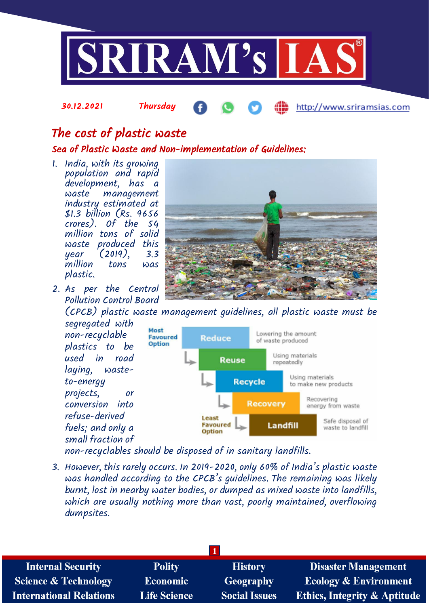

# The cost of plastic waste

30.12.2021 Thursday

Sea of Plastic Waste and Non-implementation of Guidelines:

- 1. India, with its growing population and rapid development, has a management industry estimated at \$1.3 billion (Rs. 9656 crores). Of the 54 million tons of solid waste produced this<br>uear (2019). 3.3 year '(2019),<br>million tons million tons was plastic.
- 2. As per the Central Pollution Control Board



http://www.sriramsias.com

(CPCB) plastic waste management guidelines, all plastic waste must be

segregated with Most Lowering the amount non-recyclable Favoured Reduce of waste produced Option plastics to be Using materials used in road Reuse repeatedly laying, waste-Using materials to-energy **Recycle** to make new products projects, or Recovering **Recovery** conversion into energy from waste refuse-derived Least Safe disposal of Favoured Landfill fuels; and only a waste to landfill Ontion small fraction of

non-recyclables should be disposed of in sanitary landfills.

3. However, this rarely occurs. In 2019-2020, only 60% of India's plastic waste was handled according to the CPCB's guidelines. The remaining was likely burnt, lost in nearby water bodies, or dumped as mixed waste into landfills, which are usually nothing more than vast, poorly maintained, overflowing dumpsites.

| <b>Internal Security</b>        | <b>Polity</b>       | <b>History</b>       | <b>Disaster Management</b>              |  |  |
|---------------------------------|---------------------|----------------------|-----------------------------------------|--|--|
| <b>Science &amp; Technology</b> | <b>Economic</b>     | Geography            | <b>Ecology &amp; Environment</b>        |  |  |
| <b>International Relations</b>  | <b>Life Science</b> | <b>Social Issues</b> | <b>Ethics, Integrity &amp; Aptitude</b> |  |  |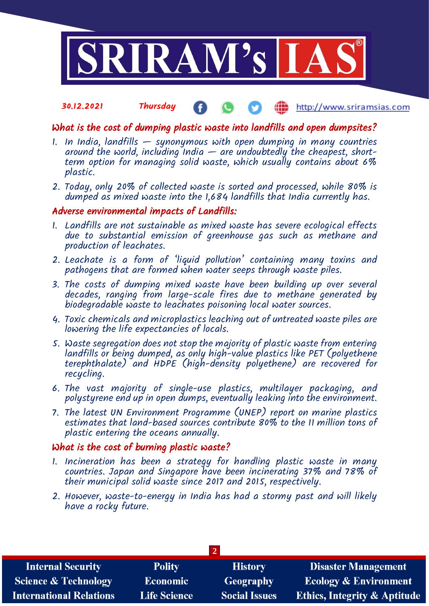

#### 30.12.2021 Thursday http://www.sriramsias.com

## What is the cost of dumping plastic waste into landfills and open dumpsites?

- 1. In India, landfills  $-$  synonymous with open dumping in many countries around the world, including India  $-$  are undoubtedly the cheapest, shortterm option for managing solid waste, which usually contains about 6% plastic.
- 2. Today, only 20% of collected waste is sorted and processed, while 80% is dumped as mixed waste into the 1,684 landfills that India currently has.

#### Adverse environmental impacts of Landfills:

- 1. Landfills are not sustainable as mixed waste has severe ecological effects due to substantial emission of greenhouse gas such as methane and production of leachates.
- 2. Leachate is a form of 'liquid pollution' containing many toxins and pathogens that are formed when water seeps through waste piles.
- 3. The costs of dumping mixed waste have been building up over several decades, ranging from large-scale fires due to methane generated by biodegradable waste to leachates poisoning local water sources.
- 4. Toxic chemicals and microplastics leaching out of untreated waste piles are lowering the life expectancies of locals.
- 5. Waste segregation does not stop the majority of plastic waste from entering landfills or being dumped, as only high-value plastics like PET (polyethene terephthalate) and HDPE (high-density polyethene) are recovered for recycling.
- 6. The vast majority of single-use plastics, multilayer packaging, and polystyrene end up in open dumps, eventually leaking into the environment.
- 7. The latest UN Environment Programme (UNEP) report on marine plastics estimates that land-based sources contribute 80% to the 11 million tons of plastic entering the oceans annually.

### What is the cost of burning plastic waste?

- 1. Incineration has been a strategy for handling plastic waste in many countries. Japan and Singapore have been incinerating 37% and 78% of their municipal solid waste since 2017 and 2015, respectively.
- 2. However, waste-to-energy in India has had a stormy past and will likely have a rocky future.

| <b>Internal Security</b>        | <b>Polity</b>       | <b>History</b>       | <b>Disaster Management</b>              |  |  |  |
|---------------------------------|---------------------|----------------------|-----------------------------------------|--|--|--|
| <b>Science &amp; Technology</b> | <b>Economic</b>     | <b>Geography</b>     | <b>Ecology &amp; Environment</b>        |  |  |  |
| <b>International Relations</b>  | <b>Life Science</b> | <b>Social Issues</b> | <b>Ethics, Integrity &amp; Aptitude</b> |  |  |  |